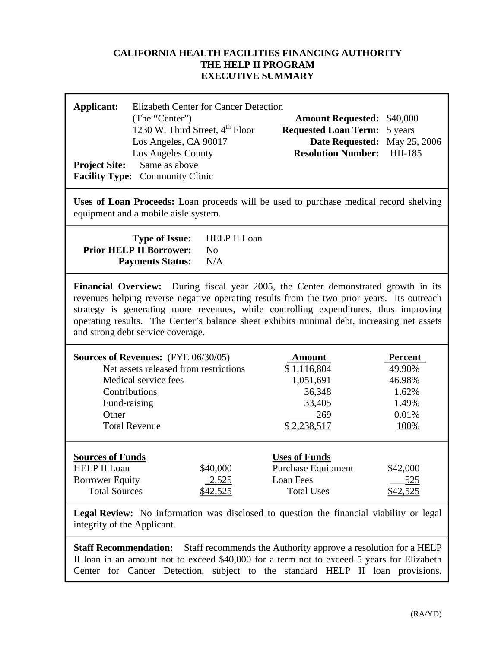### **CALIFORNIA HEALTH FACILITIES FINANCING AUTHORITY THE HELP II PROGRAM EXECUTIVE SUMMARY**

| Applicant:<br><b>Project Site:</b>                                                                                                                                                                                                                                                                                                                                                                          | <b>Elizabeth Center for Cancer Detection</b><br>(The "Center")<br><b>Amount Requested:</b><br>\$40,000<br>1230 W. Third Street, 4 <sup>th</sup> Floor<br><b>Requested Loan Term:</b><br>5 years<br>Los Angeles, CA 90017<br>Date Requested: May 25, 2006<br><b>Resolution Number:</b><br>HII-185<br>Los Angeles County<br>Same as above<br>Facility Type: Community Clinic |          |                                            |            |  |  |  |  |  |
|-------------------------------------------------------------------------------------------------------------------------------------------------------------------------------------------------------------------------------------------------------------------------------------------------------------------------------------------------------------------------------------------------------------|----------------------------------------------------------------------------------------------------------------------------------------------------------------------------------------------------------------------------------------------------------------------------------------------------------------------------------------------------------------------------|----------|--------------------------------------------|------------|--|--|--|--|--|
| Uses of Loan Proceeds: Loan proceeds will be used to purchase medical record shelving<br>equipment and a mobile aisle system.                                                                                                                                                                                                                                                                               |                                                                                                                                                                                                                                                                                                                                                                            |          |                                            |            |  |  |  |  |  |
| <b>HELP II Loan</b><br><b>Type of Issue:</b><br><b>Prior HELP II Borrower:</b><br>N <sub>o</sub><br>N/A<br><b>Payments Status:</b>                                                                                                                                                                                                                                                                          |                                                                                                                                                                                                                                                                                                                                                                            |          |                                            |            |  |  |  |  |  |
| Financial Overview: During fiscal year 2005, the Center demonstrated growth in its<br>revenues helping reverse negative operating results from the two prior years. Its outreach<br>strategy is generating more revenues, while controlling expenditures, thus improving<br>operating results. The Center's balance sheet exhibits minimal debt, increasing net assets<br>and strong debt service coverage. |                                                                                                                                                                                                                                                                                                                                                                            |          |                                            |            |  |  |  |  |  |
| <b>Sources of Revenues:</b> (FYE 06/30/05)<br>Amount<br>Percent                                                                                                                                                                                                                                                                                                                                             |                                                                                                                                                                                                                                                                                                                                                                            |          |                                            |            |  |  |  |  |  |
|                                                                                                                                                                                                                                                                                                                                                                                                             | Net assets released from restrictions                                                                                                                                                                                                                                                                                                                                      |          | \$1,116,804                                | 49.90%     |  |  |  |  |  |
|                                                                                                                                                                                                                                                                                                                                                                                                             | Medical service fees                                                                                                                                                                                                                                                                                                                                                       |          | 1,051,691                                  | 46.98%     |  |  |  |  |  |
| Contributions                                                                                                                                                                                                                                                                                                                                                                                               |                                                                                                                                                                                                                                                                                                                                                                            |          | 36,348                                     | 1.62%      |  |  |  |  |  |
| Fund-raising                                                                                                                                                                                                                                                                                                                                                                                                |                                                                                                                                                                                                                                                                                                                                                                            |          | 33,405                                     | 1.49%      |  |  |  |  |  |
| Other                                                                                                                                                                                                                                                                                                                                                                                                       |                                                                                                                                                                                                                                                                                                                                                                            |          | 269                                        | 0.01%      |  |  |  |  |  |
|                                                                                                                                                                                                                                                                                                                                                                                                             | <b>Total Revenue</b><br>\$2,238,517<br>100%                                                                                                                                                                                                                                                                                                                                |          |                                            |            |  |  |  |  |  |
| <b>Sources of Funds</b><br><b>HELP II Loan</b>                                                                                                                                                                                                                                                                                                                                                              |                                                                                                                                                                                                                                                                                                                                                                            | \$40,000 | <b>Uses of Funds</b><br>Purchase Equipment | \$42,000   |  |  |  |  |  |
| <b>Borrower Equity</b>                                                                                                                                                                                                                                                                                                                                                                                      |                                                                                                                                                                                                                                                                                                                                                                            | $-2,525$ | Loan Fees                                  | <u>525</u> |  |  |  |  |  |
| <b>Total Sources</b>                                                                                                                                                                                                                                                                                                                                                                                        |                                                                                                                                                                                                                                                                                                                                                                            | \$42,525 | <b>Total Uses</b>                          | \$42,525   |  |  |  |  |  |
| Legal Review: No information was disclosed to question the financial viability or legal<br>integrity of the Applicant.                                                                                                                                                                                                                                                                                      |                                                                                                                                                                                                                                                                                                                                                                            |          |                                            |            |  |  |  |  |  |
| <b>Staff Recommendation:</b><br>Staff recommends the Authority approve a resolution for a HELP<br>II loan in an amount not to exceed \$40,000 for a term not to exceed 5 years for Elizabeth<br>Center for Cancer Detection, subject to the standard HELP II loan provisions.                                                                                                                               |                                                                                                                                                                                                                                                                                                                                                                            |          |                                            |            |  |  |  |  |  |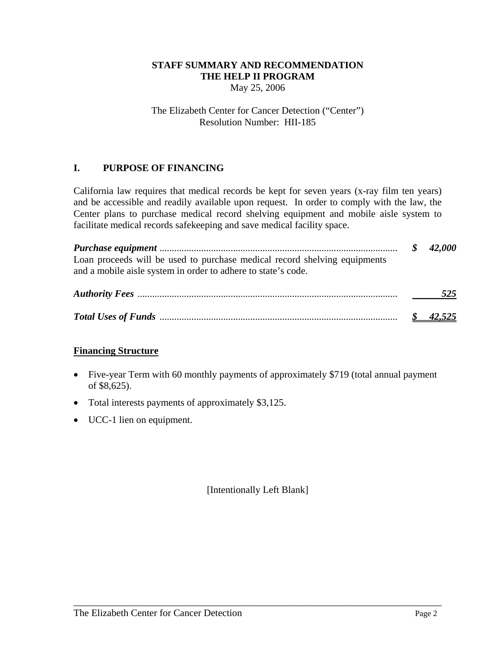### **STAFF SUMMARY AND RECOMMENDATION THE HELP II PROGRAM**  May 25, 2006

#### The Elizabeth Center for Cancer Detection ("Center") Resolution Number: HII-185

# **I. PURPOSE OF FINANCING**

California law requires that medical records be kept for seven years (x-ray film ten years) and be accessible and readily available upon request. In order to comply with the law, the Center plans to purchase medical record shelving equipment and mobile aisle system to facilitate medical records safekeeping and save medical facility space.

*Purchase equipment* ................................................................................................. *\$ 42,000*  Loan proceeds will be used to purchase medical record shelving equipments and a mobile aisle system in order to adhere to state's code.

| 525 |
|-----|
|     |

### **Financing Structure**

- Five-year Term with 60 monthly payments of approximately \$719 (total annual payment of \$8,625).
- Total interests payments of approximately \$3,125.
- UCC-1 lien on equipment.

[Intentionally Left Blank]

\_\_\_\_\_\_\_\_\_\_\_\_\_\_\_\_\_\_\_\_\_\_\_\_\_\_\_\_\_\_\_\_\_\_\_\_\_\_\_\_\_\_\_\_\_\_\_\_\_\_\_\_\_\_\_\_\_\_\_\_\_\_\_\_\_\_\_\_\_\_\_\_\_\_\_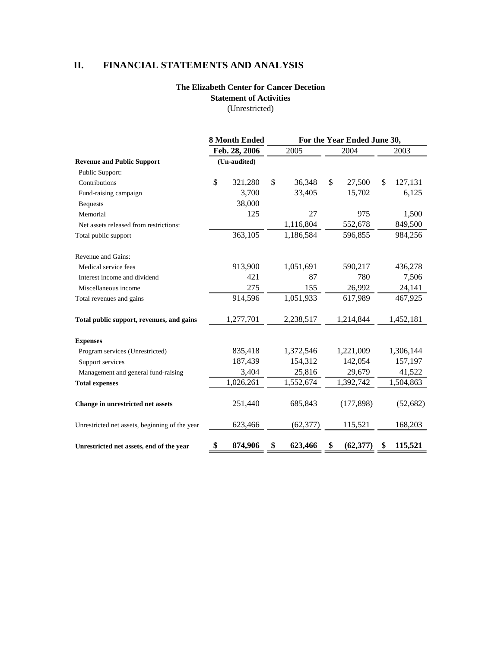# **II. FINANCIAL STATEMENTS AND ANALYSIS**

## **The Elizabeth Center for Cancer Decetion Statement of Activities**

(Unrestricted)

|                                                | <b>8 Month Ended</b><br>Feb. 28, 2006 |              | For the Year Ended June 30, |           |    |            |     |           |
|------------------------------------------------|---------------------------------------|--------------|-----------------------------|-----------|----|------------|-----|-----------|
|                                                |                                       |              |                             | 2005      |    | 2004       |     | 2003      |
| <b>Revenue and Public Support</b>              |                                       | (Un-audited) |                             |           |    |            |     |           |
| Public Support:                                |                                       |              |                             |           |    |            |     |           |
| Contributions                                  | \$                                    | 321,280      | \$                          | 36,348    | \$ | 27,500     | \$. | 127,131   |
| Fund-raising campaign                          |                                       | 3,700        |                             | 33,405    |    | 15,702     |     | 6,125     |
| <b>Bequests</b>                                |                                       | 38,000       |                             |           |    |            |     |           |
| Memorial                                       |                                       | 125          |                             | 27        |    | 975        |     | 1,500     |
| Net assets released from restrictions:         |                                       |              |                             | 1,116,804 |    | 552,678    |     | 849,500   |
| Total public support                           |                                       | 363,105      |                             | 1,186,584 |    | 596,855    |     | 984,256   |
| Revenue and Gains:                             |                                       |              |                             |           |    |            |     |           |
| Medical service fees                           |                                       | 913,900      |                             | 1,051,691 |    | 590,217    |     | 436,278   |
| Interest income and dividend                   |                                       | 421          |                             | 87        |    | 780        |     | 7,506     |
| Miscellaneous income                           |                                       | 275          |                             | 155       |    | 26,992     |     | 24,141    |
| Total revenues and gains                       |                                       | 914,596      |                             | 1,051,933 |    | 617,989    |     | 467,925   |
| Total public support, revenues, and gains      |                                       | 1,277,701    |                             | 2,238,517 |    | 1,214,844  |     | 1,452,181 |
| <b>Expenses</b>                                |                                       |              |                             |           |    |            |     |           |
| Program services (Unrestricted)                |                                       | 835,418      |                             | 1,372,546 |    | 1,221,009  |     | 1,306,144 |
| Support services                               |                                       | 187,439      |                             | 154,312   |    | 142,054    |     | 157,197   |
| Management and general fund-raising            |                                       | 3,404        |                             | 25,816    |    | 29,679     |     | 41,522    |
| <b>Total expenses</b>                          |                                       | 1,026,261    |                             | 1,552,674 |    | 1,392,742  |     | 1,504,863 |
| Change in unrestricted net assets              |                                       | 251,440      |                             | 685,843   |    | (177, 898) |     | (52, 682) |
| Unrestricted net assets, beginning of the year |                                       | 623,466      |                             | (62, 377) |    | 115,521    |     | 168,203   |
| Unrestricted net assets, end of the year       | \$                                    | 874,906      | \$                          | 623,466   | \$ | (62, 377)  | S   | 115,521   |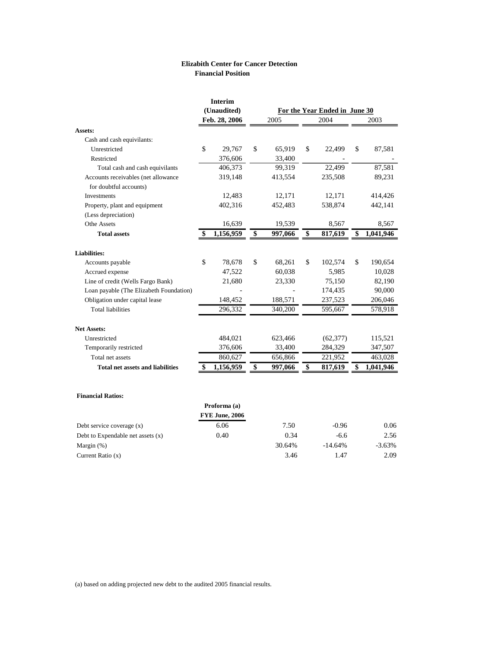#### **Elizabith Center for Cancer Detection Financial Position**

|                                         |             | Interim               |                 |                               |    |           |    |           |
|-----------------------------------------|-------------|-----------------------|-----------------|-------------------------------|----|-----------|----|-----------|
|                                         | (Unaudited) |                       |                 | For the Year Ended in June 30 |    |           |    |           |
|                                         |             | Feb. 28, 2006         |                 | 2005                          |    | 2004      |    | 2003      |
| Assets:                                 |             |                       |                 |                               |    |           |    |           |
| Cash and cash equivilants:              |             |                       |                 |                               |    |           |    |           |
| Unrestricted                            | \$          | 29,767                | \$              | 65,919                        | \$ | 22,499    | \$ | 87,581    |
| Restricted                              |             | 376,606               |                 | 33,400                        |    |           |    |           |
| Total cash and cash equivilants         |             | 406,373               |                 | 99,319                        |    | 22.499    |    | 87,581    |
| Accounts receivables (net allowance     |             | 319,148               |                 | 413,554                       |    | 235,508   |    | 89,231    |
| for doubtful accounts)                  |             |                       |                 |                               |    |           |    |           |
| Investments                             |             | 12,483                |                 | 12,171                        |    | 12,171    |    | 414,426   |
| Property, plant and equipment           |             | 402,316               |                 | 452,483                       |    | 538,874   |    | 442,141   |
| (Less depreciation)                     |             |                       |                 |                               |    |           |    |           |
| Othe Assets                             |             | 16,639                |                 | 19,539                        |    | 8,567     |    | 8,567     |
| <b>Total assets</b>                     | \$          | 1,156,959             | \$              | 997,066                       | \$ | 817,619   | \$ | 1,041,946 |
| <b>Liabilities:</b>                     |             |                       |                 |                               |    |           |    |           |
| Accounts payable                        | \$          | 78,678                | \$              | 68,261                        | \$ | 102,574   | \$ | 190,654   |
| Accrued expense                         |             | 47,522                |                 | 60,038                        |    | 5,985     |    | 10,028    |
| Line of credit (Wells Fargo Bank)       |             | 21,680                |                 | 23,330                        |    | 75,150    |    | 82,190    |
| Loan payable (The Elizabeth Foundation) |             |                       |                 |                               |    | 174,435   |    | 90,000    |
| Obligation under capital lease          |             | 148,452               |                 | 188,571                       |    | 237,523   |    | 206,046   |
| <b>Total liabilities</b>                |             | 296,332               |                 | 340,200                       |    | 595,667   |    | 578,918   |
| <b>Net Assets:</b>                      |             |                       |                 |                               |    |           |    |           |
| Unrestricted                            |             | 484,021               |                 | 623,466                       |    | (62, 377) |    | 115,521   |
| Temporarily restricted                  |             | 376,606               |                 | 33,400                        |    | 284,329   |    | 347,507   |
| Total net assets                        |             | 860,627               |                 | 656,866                       |    | 221,952   |    | 463,028   |
| <b>Total net assets and liabilities</b> | S           | 1,156,959             | $\overline{\$}$ | 997,066                       | \$ | 817,619   | \$ | 1,041,946 |
|                                         |             |                       |                 |                               |    |           |    |           |
| <b>Financial Ratios:</b>                |             | Proforma (a)          |                 |                               |    |           |    |           |
|                                         |             | <b>FYE June, 2006</b> |                 |                               |    |           |    |           |
| Debt service coverage $(x)$             |             | 6.06                  |                 | 7.50                          |    | $-0.96$   |    | 0.06      |
| Debt to Expendable net assets (x)       |             | 0.40                  |                 | 0.34                          |    | $-6.6$    |    | 2.56      |
|                                         |             |                       |                 |                               |    |           |    |           |

30.64% -14.64% -3.63% 3.46 1.47 2.09

(a) based on adding projected new debt to the audited 2005 financial results.

 Margin (%) Current Ratio (x)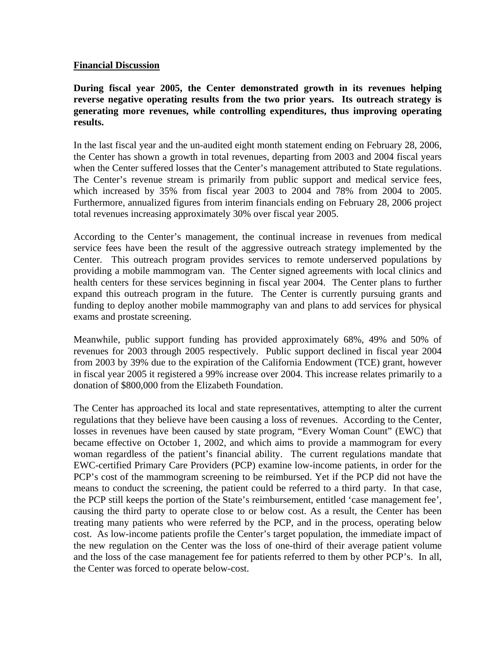#### **Financial Discussion**

**During fiscal year 2005, the Center demonstrated growth in its revenues helping reverse negative operating results from the two prior years. Its outreach strategy is generating more revenues, while controlling expenditures, thus improving operating results.** 

In the last fiscal year and the un-audited eight month statement ending on February 28, 2006, the Center has shown a growth in total revenues, departing from 2003 and 2004 fiscal years when the Center suffered losses that the Center's management attributed to State regulations. The Center's revenue stream is primarily from public support and medical service fees, which increased by 35% from fiscal year 2003 to 2004 and 78% from 2004 to 2005. Furthermore, annualized figures from interim financials ending on February 28, 2006 project total revenues increasing approximately 30% over fiscal year 2005.

According to the Center's management, the continual increase in revenues from medical service fees have been the result of the aggressive outreach strategy implemented by the Center. This outreach program provides services to remote underserved populations by providing a mobile mammogram van. The Center signed agreements with local clinics and health centers for these services beginning in fiscal year 2004. The Center plans to further expand this outreach program in the future. The Center is currently pursuing grants and funding to deploy another mobile mammography van and plans to add services for physical exams and prostate screening.

Meanwhile, public support funding has provided approximately 68%, 49% and 50% of revenues for 2003 through 2005 respectively. Public support declined in fiscal year 2004 from 2003 by 39% due to the expiration of the California Endowment (TCE) grant, however in fiscal year 2005 it registered a 99% increase over 2004. This increase relates primarily to a donation of \$800,000 from the Elizabeth Foundation.

The Center has approached its local and state representatives, attempting to alter the current regulations that they believe have been causing a loss of revenues. According to the Center, losses in revenues have been caused by state program, "Every Woman Count" (EWC) that became effective on October 1, 2002, and which aims to provide a mammogram for every woman regardless of the patient's financial ability. The current regulations mandate that EWC-certified Primary Care Providers (PCP) examine low-income patients, in order for the PCP's cost of the mammogram screening to be reimbursed. Yet if the PCP did not have the means to conduct the screening, the patient could be referred to a third party. In that case, the PCP still keeps the portion of the State's reimbursement, entitled 'case management fee', causing the third party to operate close to or below cost. As a result, the Center has been treating many patients who were referred by the PCP, and in the process, operating below cost. As low-income patients profile the Center's target population, the immediate impact of the new regulation on the Center was the loss of one-third of their average patient volume and the loss of the case management fee for patients referred to them by other PCP's. In all, the Center was forced to operate below-cost.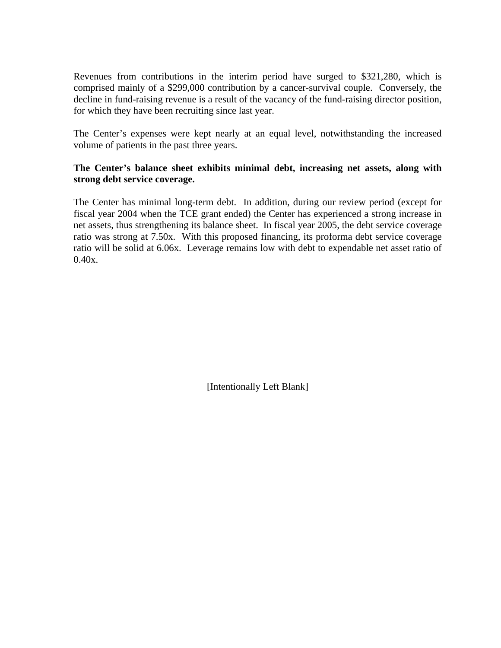Revenues from contributions in the interim period have surged to \$321,280, which is comprised mainly of a \$299,000 contribution by a cancer-survival couple. Conversely, the decline in fund-raising revenue is a result of the vacancy of the fund-raising director position, for which they have been recruiting since last year.

The Center's expenses were kept nearly at an equal level, notwithstanding the increased volume of patients in the past three years.

### **The Center's balance sheet exhibits minimal debt, increasing net assets, along with strong debt service coverage.**

The Center has minimal long-term debt. In addition, during our review period (except for fiscal year 2004 when the TCE grant ended) the Center has experienced a strong increase in net assets, thus strengthening its balance sheet. In fiscal year 2005, the debt service coverage ratio was strong at 7.50x. With this proposed financing, its proforma debt service coverage ratio will be solid at 6.06x. Leverage remains low with debt to expendable net asset ratio of  $0.40x.$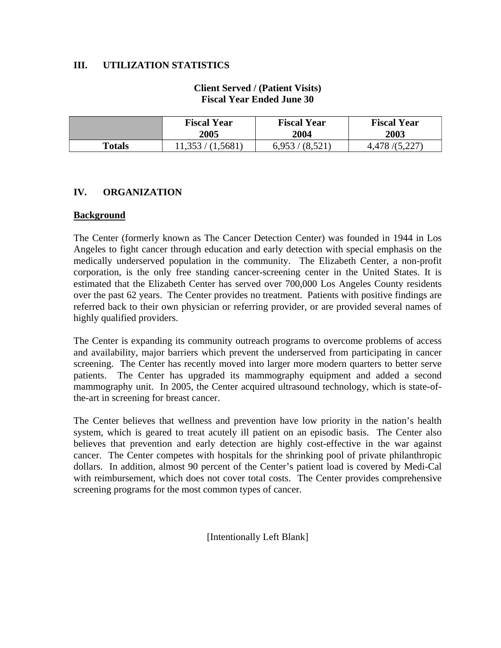### **III. UTILIZATION STATISTICS**

### **Client Served / (Patient Visits) Fiscal Year Ended June 30**

|               | <b>Fiscal Year</b> | <b>Fiscal Year</b> | <b>Fiscal Year</b> |  |  |
|---------------|--------------------|--------------------|--------------------|--|--|
|               | 2005               | 2004               | 2003               |  |  |
| <b>Totals</b> | 11,353 / (1,5681)  | 6,953/(8,521)      | 4,478/(5,227)      |  |  |

#### **IV. ORGANIZATION**

#### **Background**

The Center (formerly known as The Cancer Detection Center) was founded in 1944 in Los Angeles to fight cancer through education and early detection with special emphasis on the medically underserved population in the community. The Elizabeth Center, a non-profit corporation, is the only free standing cancer-screening center in the United States. It is estimated that the Elizabeth Center has served over 700,000 Los Angeles County residents over the past 62 years. The Center provides no treatment. Patients with positive findings are referred back to their own physician or referring provider, or are provided several names of highly qualified providers.

The Center is expanding its community outreach programs to overcome problems of access and availability, major barriers which prevent the underserved from participating in cancer screening. The Center has recently moved into larger more modern quarters to better serve patients. The Center has upgraded its mammography equipment and added a second mammography unit. In 2005, the Center acquired ultrasound technology, which is state-ofthe-art in screening for breast cancer.

The Center believes that wellness and prevention have low priority in the nation's health system, which is geared to treat acutely ill patient on an episodic basis. The Center also believes that prevention and early detection are highly cost-effective in the war against cancer. The Center competes with hospitals for the shrinking pool of private philanthropic dollars. In addition, almost 90 percent of the Center's patient load is covered by Medi-Cal with reimbursement, which does not cover total costs. The Center provides comprehensive screening programs for the most common types of cancer.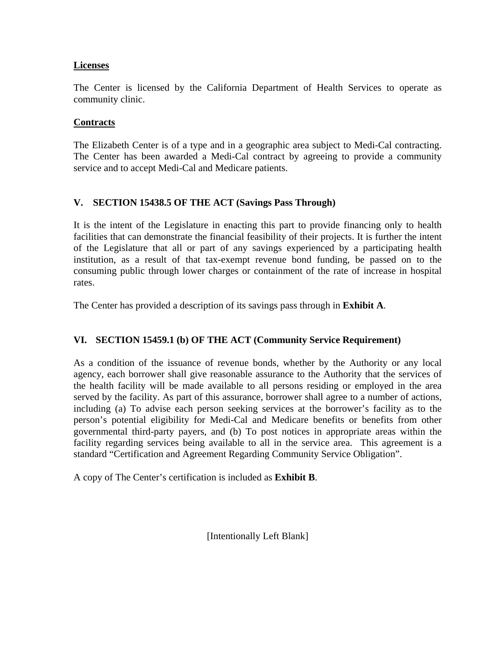### **Licenses**

The Center is licensed by the California Department of Health Services to operate as community clinic.

### **Contracts**

The Elizabeth Center is of a type and in a geographic area subject to Medi-Cal contracting. The Center has been awarded a Medi-Cal contract by agreeing to provide a community service and to accept Medi-Cal and Medicare patients.

# **V. SECTION 15438.5 OF THE ACT (Savings Pass Through)**

It is the intent of the Legislature in enacting this part to provide financing only to health facilities that can demonstrate the financial feasibility of their projects. It is further the intent of the Legislature that all or part of any savings experienced by a participating health institution, as a result of that tax-exempt revenue bond funding, be passed on to the consuming public through lower charges or containment of the rate of increase in hospital rates.

The Center has provided a description of its savings pass through in **Exhibit A**.

# **VI. SECTION 15459.1 (b) OF THE ACT (Community Service Requirement)**

As a condition of the issuance of revenue bonds, whether by the Authority or any local agency, each borrower shall give reasonable assurance to the Authority that the services of the health facility will be made available to all persons residing or employed in the area served by the facility. As part of this assurance, borrower shall agree to a number of actions, including (a) To advise each person seeking services at the borrower's facility as to the person's potential eligibility for Medi-Cal and Medicare benefits or benefits from other governmental third-party payers, and (b) To post notices in appropriate areas within the facility regarding services being available to all in the service area. This agreement is a standard "Certification and Agreement Regarding Community Service Obligation".

A copy of The Center's certification is included as **Exhibit B**.